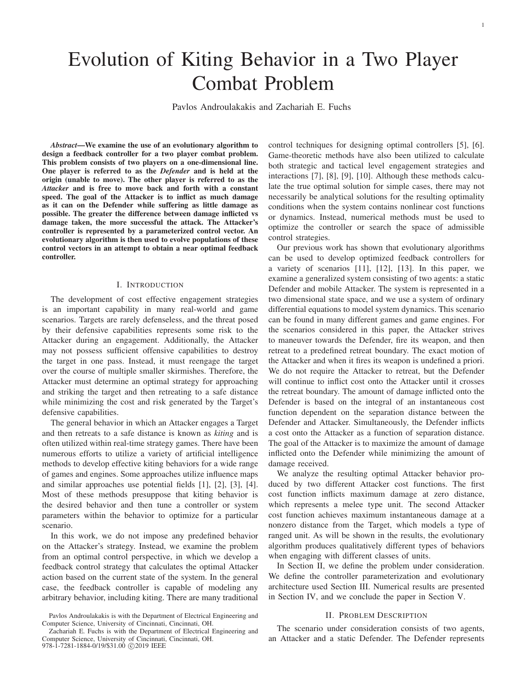# Evolution of Kiting Behavior in a Two Player Combat Problem

Pavlos Androulakakis and Zachariah E. Fuchs

*Abstract*—We examine the use of an evolutionary algorithm to design a feedback controller for a two player combat problem. This problem consists of two players on a one-dimensional line. One player is referred to as the *Defender* and is held at the origin (unable to move). The other player is referred to as the *Attacker* and is free to move back and forth with a constant speed. The goal of the Attacker is to inflict as much damage as it can on the Defender while suffering as little damage as possible. The greater the difference between damage inflicted vs damage taken, the more successful the attack. The Attacker's controller is represented by a parameterized control vector. An evolutionary algorithm is then used to evolve populations of these control vectors in an attempt to obtain a near optimal feedback controller.

# I. INTRODUCTION

The development of cost effective engagement strategies is an important capability in many real-world and game scenarios. Targets are rarely defenseless, and the threat posed by their defensive capabilities represents some risk to the Attacker during an engagement. Additionally, the Attacker may not possess sufficient offensive capabilities to destroy the target in one pass. Instead, it must reengage the target over the course of multiple smaller skirmishes. Therefore, the Attacker must determine an optimal strategy for approaching and striking the target and then retreating to a safe distance while minimizing the cost and risk generated by the Target's defensive capabilities.

The general behavior in which an Attacker engages a Target and then retreats to a safe distance is known as *kiting* and is often utilized within real-time strategy games. There have been numerous efforts to utilize a variety of artificial intelligence methods to develop effective kiting behaviors for a wide range of games and engines. Some approaches utilize influence maps and similar approaches use potential fields [1], [2], [3], [4]. Most of these methods presuppose that kiting behavior is the desired behavior and then tune a controller or system parameters within the behavior to optimize for a particular scenario.

In this work, we do not impose any predefined behavior on the Attacker's strategy. Instead, we examine the problem from an optimal control perspective, in which we develop a feedback control strategy that calculates the optimal Attacker action based on the current state of the system. In the general case, the feedback controller is capable of modeling any arbitrary behavior, including kiting. There are many traditional control techniques for designing optimal controllers [5], [6]. Game-theoretic methods have also been utilized to calculate both strategic and tactical level engagement strategies and interactions [7], [8], [9], [10]. Although these methods calculate the true optimal solution for simple cases, there may not necessarily be analytical solutions for the resulting optimality conditions when the system contains nonlinear cost functions or dynamics. Instead, numerical methods must be used to optimize the controller or search the space of admissible control strategies.

Our previous work has shown that evolutionary algorithms can be used to develop optimized feedback controllers for a variety of scenarios [11], [12], [13]. In this paper, we examine a generalized system consisting of two agents: a static Defender and mobile Attacker. The system is represented in a two dimensional state space, and we use a system of ordinary differential equations to model system dynamics. This scenario can be found in many different games and game engines. For the scenarios considered in this paper, the Attacker strives to maneuver towards the Defender, fire its weapon, and then retreat to a predefined retreat boundary. The exact motion of the Attacker and when it fires its weapon is undefined a priori. We do not require the Attacker to retreat, but the Defender will continue to inflict cost onto the Attacker until it crosses the retreat boundary. The amount of damage inflicted onto the Defender is based on the integral of an instantaneous cost function dependent on the separation distance between the Defender and Attacker. Simultaneously, the Defender inflicts a cost onto the Attacker as a function of separation distance. The goal of the Attacker is to maximize the amount of damage inflicted onto the Defender while minimizing the amount of damage received.

We analyze the resulting optimal Attacker behavior produced by two different Attacker cost functions. The first cost function inflicts maximum damage at zero distance, which represents a melee type unit. The second Attacker cost function achieves maximum instantaneous damage at a nonzero distance from the Target, which models a type of ranged unit. As will be shown in the results, the evolutionary algorithm produces qualitatively different types of behaviors when engaging with different classes of units.

In Section II, we define the problem under consideration. We define the controller parameterization and evolutionary architecture used Section III. Numerical results are presented in Section IV, and we conclude the paper in Section V.

## II. PROBLEM DESCRIPTION

The scenario under consideration consists of two agents, an Attacker and a static Defender. The Defender represents

Pavlos Androulakakis is with the Department of Electrical Engineering and Computer Science, University of Cincinnati, Cincinnati, OH.

Zachariah E. Fuchs is with the Department of Electrical Engineering and Computer Science, University of Cincinnati, Cincinnati, OH. 978-1-7281-1884-0/19/\$31.00 ©2019 IEEE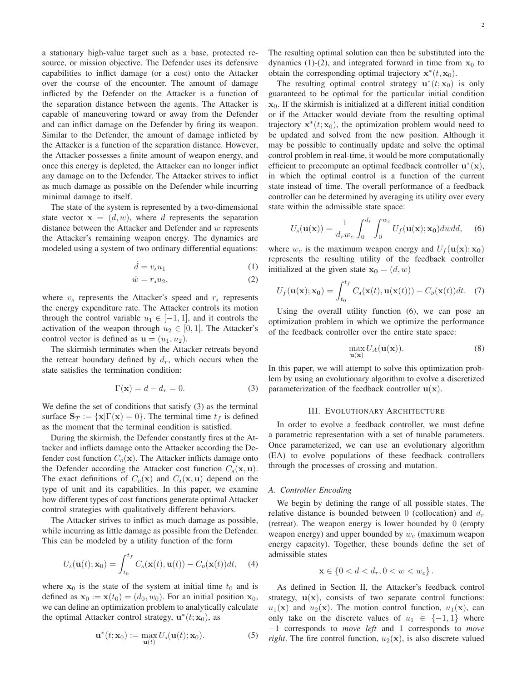a stationary high-value target such as a base, protected resource, or mission objective. The Defender uses its defensive capabilities to inflict damage (or a cost) onto the Attacker over the course of the encounter. The amount of damage inflicted by the Defender on the Attacker is a function of the separation distance between the agents. The Attacker is capable of maneuvering toward or away from the Defender and can inflict damage on the Defender by firing its weapon. Similar to the Defender, the amount of damage inflicted by the Attacker is a function of the separation distance. However, the Attacker possesses a finite amount of weapon energy, and once this energy is depleted, the Attacker can no longer inflict any damage on to the Defender. The Attacker strives to inflict as much damage as possible on the Defender while incurring minimal damage to itself.

The state of the system is represented by a two-dimensional state vector  $\mathbf{x} = (d, w)$ , where d represents the separation distance between the Attacker and Defender and  $w$  represents the Attacker's remaining weapon energy. The dynamics are modeled using a system of two ordinary differential equations:

$$
\dot{d} = v_A u_1 \tag{1}
$$

$$
\dot{w} = r_A u_2,\tag{2}
$$

where  $v_A$  represents the Attacker's speed and  $r_A$  represents the energy expenditure rate. The Attacker controls its motion through the control variable  $u_1 \in [-1, 1]$ , and it controls the activation of the weapon through  $u_2 \in [0,1]$ . The Attacker's control vector is defined as  $\mathbf{u} = (u_1, u_2)$ .

The skirmish terminates when the Attacker retreats beyond the retreat boundary defined by  $d_r$ , which occurs when the state satisfies the termination condition:

$$
\Gamma(\mathbf{x}) = d - d_r = 0.
$$
 (3)

We define the set of conditions that satisfy (3) as the terminal surface  $\mathbf{S}_T := \{ \mathbf{x} | \Gamma(\mathbf{x}) = 0 \}$ . The terminal time  $t_f$  is defined as the moment that the terminal condition is satisfied.

During the skirmish, the Defender constantly fires at the Attacker and inflicts damage onto the Attacker according the Defender cost function  $C_p(\mathbf{x})$ . The Attacker inflicts damage onto the Defender according the Attacker cost function  $C_A(\mathbf{x}, \mathbf{u})$ . The exact definitions of  $C_p(\mathbf{x})$  and  $C_A(\mathbf{x}, \mathbf{u})$  depend on the type of unit and its capabilities. In this paper, we examine how different types of cost functions generate optimal Attacker control strategies with qualitatively different behaviors.

The Attacker strives to inflict as much damage as possible, while incurring as little damage as possible from the Defender. This can be modeled by a utility function of the form

$$
U_A(\mathbf{u}(t); \mathbf{x}_0) = \int_{t_0}^{t_f} C_A(\mathbf{x}(t), \mathbf{u}(t)) - C_D(\mathbf{x}(t))dt,
$$
 (4)

where  $x_0$  is the state of the system at initial time  $t_0$  and is defined as  $\mathbf{x}_0 := \mathbf{x}(t_0) = (d_0, w_0)$ . For an initial position  $\mathbf{x}_0$ , we can define an optimization problem to analytically calculate the optimal Attacker control strategy,  $\mathbf{u}^*(t; \mathbf{x}_0)$ , as

$$
\mathbf{u}^*(t; \mathbf{x}_0) := \max_{\mathbf{u}(t)} U_A(\mathbf{u}(t); \mathbf{x}_0).
$$
 (5)

The resulting optimal solution can then be substituted into the dynamics (1)-(2), and integrated forward in time from  $x_0$  to obtain the corresponding optimal trajectory  $\mathbf{x}^*(t, \mathbf{x}_0)$ .

The resulting optimal control strategy  $\mathbf{u}^*(t; \mathbf{x}_0)$  is only guaranteed to be optimal for the particular initial condition **x**0. If the skirmish is initialized at a different initial condition or if the Attacker would deviate from the resulting optimal trajectory  $\mathbf{x}^*(t; \mathbf{x}_0)$ , the optimization problem would need to be updated and solved from the new position. Although it may be possible to continually update and solve the optimal control problem in real-time, it would be more computationally efficient to precompute an optimal feedback controller  $\mathbf{u}^*(\mathbf{x})$ , in which the optimal control is a function of the current state instead of time. The overall performance of a feedback controller can be determined by averaging its utility over every state within the admissible state space:

$$
U_A(\mathbf{u}(\mathbf{x})) = \frac{1}{d_r w_c} \int_0^{d_r} \int_0^{w_c} U_f(\mathbf{u}(\mathbf{x}); \mathbf{x_0}) dw dd, \quad (6)
$$

where  $w_c$  is the maximum weapon energy and  $U_f(\mathbf{u}(\mathbf{x}); \mathbf{x_0})$ represents the resulting utility of the feedback controller initialized at the given state  $\mathbf{x_0} = (d, w)$ 

$$
U_f(\mathbf{u}(\mathbf{x}); \mathbf{x_0}) = \int_{t_0}^{t_f} C_A(\mathbf{x}(t), \mathbf{u}(\mathbf{x}(t))) - C_D(\mathbf{x}(t))dt.
$$
 (7)

Using the overall utility function (6), we can pose an optimization problem in which we optimize the performance of the feedback controller over the entire state space:

$$
\max_{\mathbf{u}(\mathbf{x})} U_A(\mathbf{u}(\mathbf{x})).
$$
 (8)

In this paper, we will attempt to solve this optimization problem by using an evolutionary algorithm to evolve a discretized parameterization of the feedback controller  $\mathbf{u}(\mathbf{x})$ .

## III. EVOLUTIONARY ARCHITECTURE

In order to evolve a feedback controller, we must define a parametric representation with a set of tunable parameters. Once parameterized, we can use an evolutionary algorithm (EA) to evolve populations of these feedback controllers through the processes of crossing and mutation.

#### *A. Controller Encoding*

We begin by defining the range of all possible states. The relative distance is bounded between 0 (collocation) and  $d<sub>r</sub>$ (retreat). The weapon energy is lower bounded by 0 (empty weapon energy) and upper bounded by  $w_c$  (maximum weapon energy capacity). Together, these bounds define the set of admissible states

$$
\mathbf{x} \in \{0 < d < d_r, 0 < w < w_c\}.
$$

As defined in Section II, the Attacker's feedback control strategy,  $u(x)$ , consists of two separate control functions:  $u_1(\mathbf{x})$  and  $u_2(\mathbf{x})$ . The motion control function,  $u_1(\mathbf{x})$ , can only take on the discrete values of  $u_1 \in \{-1,1\}$  where −1 corresponds to *move left* and 1 corresponds to *move right*. The fire control function,  $u_2(\mathbf{x})$ , is also discrete valued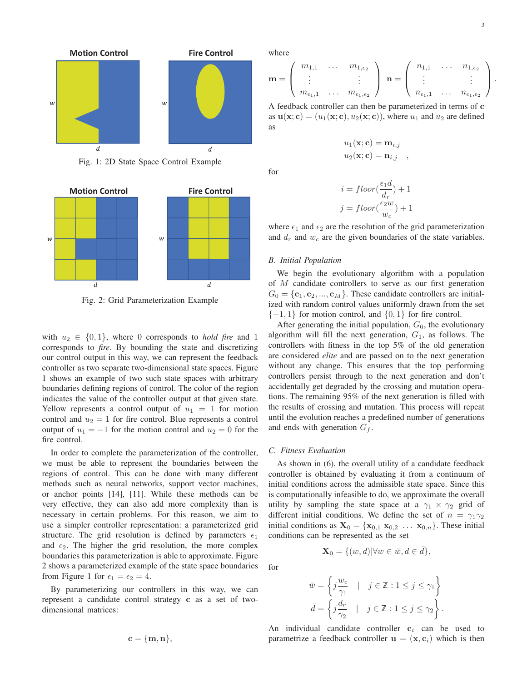

Fig. 1: 2D State Space Control Example



Fig. 2: Grid Parameterization Example

with  $u_2 \in \{0, 1\}$ , where 0 corresponds to *hold fire* and 1 corresponds to *fire*. By bounding the state and discretizing our control output in this way, we can represent the feedback controller as two separate two-dimensional state spaces. Figure 1 shows an example of two such state spaces with arbitrary boundaries defining regions of control. The color of the region indicates the value of the controller output at that given state. Yellow represents a control output of  $u_1 = 1$  for motion control and  $u_2 = 1$  for fire control. Blue represents a control output of  $u_1 = -1$  for the motion control and  $u_2 = 0$  for the fire control.

In order to complete the parameterization of the controller, we must be able to represent the boundaries between the regions of control. This can be done with many different methods such as neural networks, support vector machines, or anchor points [14], [11]. While these methods can be very effective, they can also add more complexity than is necessary in certain problems. For this reason, we aim to use a simpler controller representation: a parameterized grid structure. The grid resolution is defined by parameters  $\epsilon_1$ and  $\epsilon_2$ . The higher the grid resolution, the more complex boundaries this parameterization is able to approximate. Figure 2 shows a parameterized example of the state space boundaries from Figure 1 for  $\epsilon_1 = \epsilon_2 = 4$ .

By parameterizing our controllers in this way, we can represent a candidate control strategy **c** as a set of twodimensional matrices:

$$
\mathbf{c} = \{\mathbf{m},\mathbf{n}\},
$$

where

$$
\mathbf{m} = \left(\begin{array}{ccc} m_{1,1} & \ldots & m_{1,\epsilon_2} \\ \vdots & & \vdots \\ m_{\epsilon_1,1} & \ldots & m_{\epsilon_1,\epsilon_2} \end{array}\right) \mathbf{n} = \left(\begin{array}{ccc} n_{1,1} & \ldots & n_{1,\epsilon_2} \\ \vdots & & \vdots \\ n_{\epsilon_1,1} & \ldots & n_{\epsilon_1,\epsilon_2} \end{array}\right).
$$

A feedback controller can then be parameterized in terms of **c** as  $u(\mathbf{x}; \mathbf{c}) = (u_1(\mathbf{x}; \mathbf{c}), u_2(\mathbf{x}; \mathbf{c}))$ , where  $u_1$  and  $u_2$  are defined as

$$
u_1(\mathbf{x}; \mathbf{c}) = \mathbf{m}_{i,j}
$$
  

$$
u_2(\mathbf{x}; \mathbf{c}) = \mathbf{n}_{i,j} ,
$$

for

$$
i = floor(\frac{\epsilon_1 d}{d_r}) + 1
$$

$$
j = floor(\frac{\epsilon_2 w}{w_c}) + 1
$$

where  $\epsilon_1$  and  $\epsilon_2$  are the resolution of the grid parameterization and  $d_r$  and  $w_c$  are the given boundaries of the state variables.

### *B. Initial Population*

We begin the evolutionary algorithm with a population of M candidate controllers to serve as our first generation  $G_0 = \{c_1, c_2, ..., c_M\}$ . These candidate controllers are initialized with random control values uniformly drawn from the set  $\{-1, 1\}$  for motion control, and  $\{0, 1\}$  for fire control.

After generating the initial population,  $G_0$ , the evolutionary algorithm will fill the next generation,  $G_1$ , as follows. The controllers with fitness in the top 5% of the old generation are considered *elite* and are passed on to the next generation without any change. This ensures that the top performing controllers persist through to the next generation and don't accidentally get degraded by the crossing and mutation operations. The remaining 95% of the next generation is filled with the results of crossing and mutation. This process will repeat until the evolution reaches a predefined number of generations and ends with generation  $G_f$ .

## *C. Fitness Evaluation*

for

As shown in (6), the overall utility of a candidate feedback controller is obtained by evaluating it from a continuum of initial conditions across the admissible state space. Since this is computationally infeasible to do, we approximate the overall utility by sampling the state space at a  $\gamma_1 \times \gamma_2$  grid of different initial conditions. We define the set of  $n = \gamma_1 \gamma_2$ initial conditions as  $\mathbf{X}_0 = {\mathbf{x}_{0,1} \mathbf{x}_{0,2} \dots \mathbf{x}_{0,n}}$ . These initial conditions can be represented as the set

$$
\mathbf{X}_0 = \{(w, d) | \forall w \in \bar{w}, d \in \bar{d}\},\
$$

$$
\bar{w} = \left\{ j \frac{w_c}{\gamma_1} \quad | \quad j \in \mathbb{Z} : 1 \le j \le \gamma_1 \right\}
$$

$$
\bar{d} = \left\{ j \frac{d_r}{\gamma_2} \quad | \quad j \in \mathbb{Z} : 1 \le j \le \gamma_2 \right\}
$$

.

An individual candidate controller  $c_i$  can be used to parametrize a feedback controller  $\mathbf{u} = (\mathbf{x}, \mathbf{c}_i)$  which is then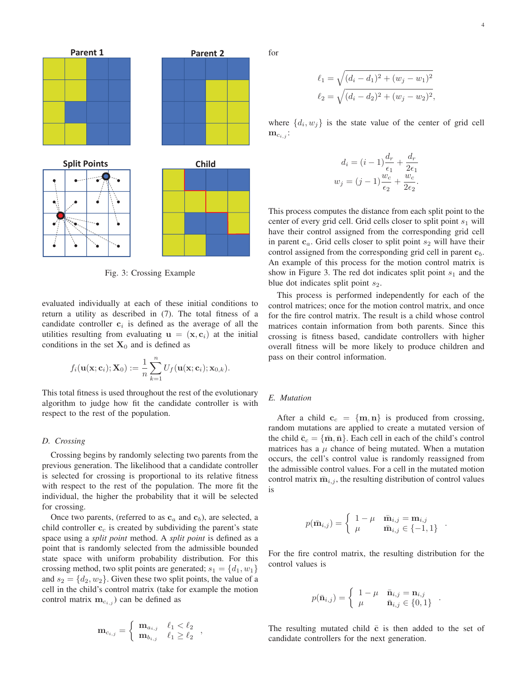

Fig. 3: Crossing Example

evaluated individually at each of these initial conditions to return a utility as described in (7). The total fitness of a candidate controller  $c_i$  is defined as the average of all the utilities resulting from evaluating  $\mathbf{u} = (\mathbf{x}, \mathbf{c}_i)$  at the initial conditions in the set  $X_0$  and is defined as

$$
f_i(\mathbf{u}(\mathbf{x}; \mathbf{c}_i); \mathbf{X}_0) := \frac{1}{n} \sum_{k=1}^n U_f(\mathbf{u}(\mathbf{x}; \mathbf{c}_i); \mathbf{x}_{0,k}).
$$

This total fitness is used throughout the rest of the evolutionary algorithm to judge how fit the candidate controller is with respect to the rest of the population.

# *D. Crossing*

Crossing begins by randomly selecting two parents from the previous generation. The likelihood that a candidate controller is selected for crossing is proportional to its relative fitness with respect to the rest of the population. The more fit the individual, the higher the probability that it will be selected for crossing.

Once two parents, (referred to as  $\mathbf{c}_a$  and  $\mathbf{c}_b$ ), are selected, a child controller  $\mathbf{c}_c$  is created by subdividing the parent's state space using a *split point* method. A *split point* is defined as a point that is randomly selected from the admissible bounded state space with uniform probability distribution. For this crossing method, two split points are generated;  $s_1 = \{d_1, w_1\}$ and  $s_2 = \{d_2, w_2\}$ . Given these two split points, the value of a cell in the child's control matrix (take for example the motion control matrix  $\mathbf{m}_{c_{i,j}}$  can be defined as

$$
\mathbf{m}_{c_{i,j}} = \begin{cases} \mathbf{m}_{a_{i,j}} & \ell_1 < \ell_2 \\ \mathbf{m}_{b_{i,j}} & \ell_1 \geq \ell_2 \end{cases},
$$

for

$$
\ell_1 = \sqrt{(d_i - d_1)^2 + (w_j - w_1)^2}
$$

$$
\ell_2 = \sqrt{(d_i - d_2)^2 + (w_j - w_2)^2},
$$

where  $\{d_i, w_i\}$  is the state value of the center of grid cell  $\mathbf{m}_{c_{i,j}}$ :

$$
d_i = (i - 1)\frac{d_r}{\epsilon_1} + \frac{d_r}{2\epsilon_1}
$$

$$
w_j = (j - 1)\frac{w_c}{\epsilon_2} + \frac{w_c}{2\epsilon_2}.
$$

This process computes the distance from each split point to the center of every grid cell. Grid cells closer to split point  $s_1$  will have their control assigned from the corresponding grid cell in parent  $c_a$ . Grid cells closer to split point  $s_2$  will have their control assigned from the corresponding grid cell in parent **c**b. An example of this process for the motion control matrix is show in Figure 3. The red dot indicates split point  $s_1$  and the blue dot indicates split point  $s_2$ .

This process is performed independently for each of the control matrices; once for the motion control matrix, and once for the fire control matrix. The result is a child whose control matrices contain information from both parents. Since this crossing is fitness based, candidate controllers with higher overall fitness will be more likely to produce children and pass on their control information.

# *E. Mutation*

After a child  $c_c = \{m, n\}$  is produced from crossing, random mutations are applied to create a mutated version of the child  $\bar{\mathbf{c}}_c = {\bar{\mathbf{m}}, \bar{\mathbf{n}}}.$  Each cell in each of the child's control matrices has a  $\mu$  chance of being mutated. When a mutation occurs, the cell's control value is randomly reassigned from the admissible control values. For a cell in the mutated motion control matrix  $\bar{m}_{i,j}$ , the resulting distribution of control values is

$$
p(\bar{\mathbf{m}}_{i,j}) = \begin{cases} 1 - \mu & \bar{\mathbf{m}}_{i,j} = \mathbf{m}_{i,j} \\ \mu & \bar{\mathbf{m}}_{i,j} \in \{-1, 1\} \end{cases}.
$$

For the fire control matrix, the resulting distribution for the control values is

$$
p(\bar{\mathbf{n}}_{i,j}) = \begin{cases} 1 - \mu & \bar{\mathbf{n}}_{i,j} = \mathbf{n}_{i,j} \\ \mu & \bar{\mathbf{n}}_{i,j} \in \{0,1\} \end{cases} .
$$

The resulting mutated child  $\bar{c}$  is then added to the set of candidate controllers for the next generation.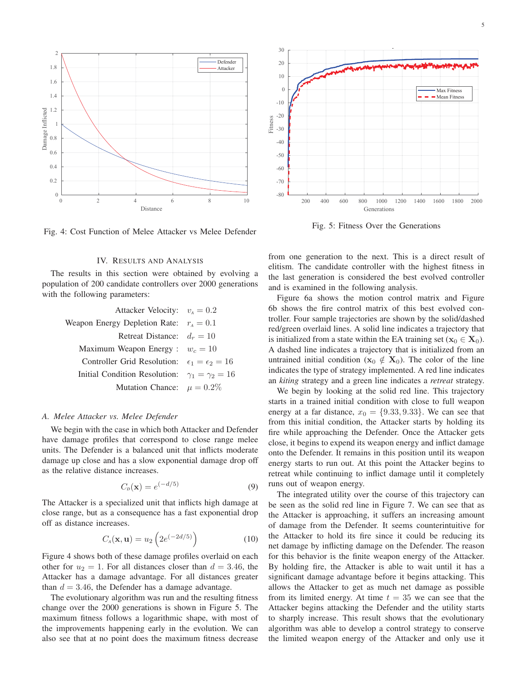

Fig. 4: Cost Function of Melee Attacker vs Melee Defender

## IV. RESULTS AND ANALYSIS

The results in this section were obtained by evolving a population of 200 candidate controllers over 2000 generations with the following parameters:

| Attacker Velocity: $v_4 = 0.2$                             |  |
|------------------------------------------------------------|--|
| Weapon Energy Depletion Rate: $r_A = 0.1$                  |  |
| Retreat Distance: $d_r = 10$                               |  |
| Maximum Weapon Energy : $w_c = 10$                         |  |
| Controller Grid Resolution: $\epsilon_1 = \epsilon_2 = 16$ |  |
| Initial Condition Resolution: $\gamma_1 = \gamma_2 = 16$   |  |
| Mutation Chance: $\mu = 0.2\%$                             |  |

## *A. Melee Attacker vs. Melee Defender*

We begin with the case in which both Attacker and Defender have damage profiles that correspond to close range melee units. The Defender is a balanced unit that inflicts moderate damage up close and has a slow exponential damage drop off as the relative distance increases.

$$
C_p(\mathbf{x}) = e^{(-d/5)}\tag{9}
$$

The Attacker is a specialized unit that inflicts high damage at close range, but as a consequence has a fast exponential drop off as distance increases.

$$
C_{A}(\mathbf{x}, \mathbf{u}) = u_2 \left( 2e^{(-2d/5)} \right) \tag{10}
$$

Figure 4 shows both of these damage profiles overlaid on each other for  $u_2 = 1$ . For all distances closer than  $d = 3.46$ , the Attacker has a damage advantage. For all distances greater than  $d = 3.46$ , the Defender has a damage advantage.

The evolutionary algorithm was run and the resulting fitness change over the 2000 generations is shown in Figure 5. The maximum fitness follows a logarithmic shape, with most of the improvements happening early in the evolution. We can also see that at no point does the maximum fitness decrease



Fig. 5: Fitness Over the Generations

from one generation to the next. This is a direct result of elitism. The candidate controller with the highest fitness in the last generation is considered the best evolved controller and is examined in the following analysis.

Figure 6a shows the motion control matrix and Figure 6b shows the fire control matrix of this best evolved controller. Four sample trajectories are shown by the solid/dashed red/green overlaid lines. A solid line indicates a trajectory that is initialized from a state within the EA training set ( $\mathbf{x}_0 \in \mathbf{X}_0$ ). A dashed line indicates a trajectory that is initialized from an untrained initial condition ( $\mathbf{x}_0 \notin \mathbf{X}_0$ ). The color of the line indicates the type of strategy implemented. A red line indicates an *kiting* strategy and a green line indicates a *retreat* strategy.

We begin by looking at the solid red line. This trajectory starts in a trained initial condition with close to full weapon energy at a far distance,  $x_0 = \{9.33, 9.33\}$ . We can see that from this initial condition, the Attacker starts by holding its fire while approaching the Defender. Once the Attacker gets close, it begins to expend its weapon energy and inflict damage onto the Defender. It remains in this position until its weapon energy starts to run out. At this point the Attacker begins to retreat while continuing to inflict damage until it completely runs out of weapon energy.

The integrated utility over the course of this trajectory can be seen as the solid red line in Figure 7. We can see that as the Attacker is approaching, it suffers an increasing amount of damage from the Defender. It seems counterintuitive for the Attacker to hold its fire since it could be reducing its net damage by inflicting damage on the Defender. The reason for this behavior is the finite weapon energy of the Attacker. By holding fire, the Attacker is able to wait until it has a significant damage advantage before it begins attacking. This allows the Attacker to get as much net damage as possible from its limited energy. At time  $t = 35$  we can see that the Attacker begins attacking the Defender and the utility starts to sharply increase. This result shows that the evolutionary algorithm was able to develop a control strategy to conserve the limited weapon energy of the Attacker and only use it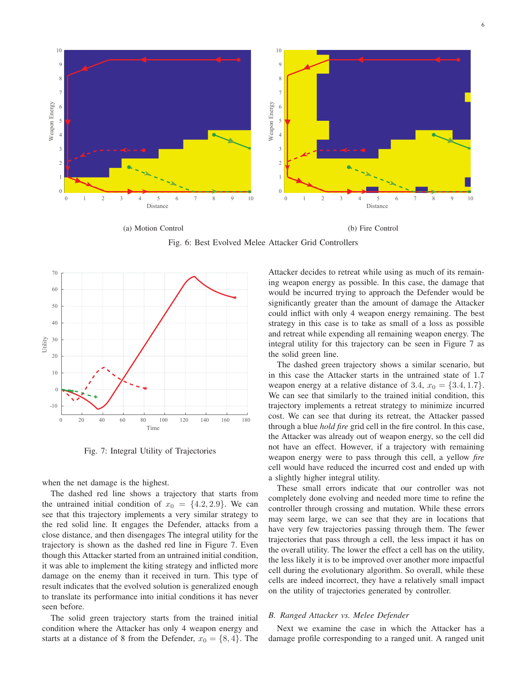

Fig. 6: Best Evolved Melee Attacker Grid Controllers



Fig. 7: Integral Utility of Trajectories

when the net damage is the highest.

The dashed red line shows a trajectory that starts from the untrained initial condition of  $x_0 = \{4.2, 2.9\}$ . We can see that this trajectory implements a very similar strategy to the red solid line. It engages the Defender, attacks from a close distance, and then disengages The integral utility for the trajectory is shown as the dashed red line in Figure 7. Even though this Attacker started from an untrained initial condition, it was able to implement the kiting strategy and inflicted more damage on the enemy than it received in turn. This type of result indicates that the evolved solution is generalized enough to translate its performance into initial conditions it has never seen before.

The solid green trajectory starts from the trained initial condition where the Attacker has only 4 weapon energy and starts at a distance of 8 from the Defender,  $x_0 = \{8, 4\}$ . The

Attacker decides to retreat while using as much of its remaining weapon energy as possible. In this case, the damage that would be incurred trying to approach the Defender would be significantly greater than the amount of damage the Attacker could inflict with only 4 weapon energy remaining. The best strategy in this case is to take as small of a loss as possible and retreat while expending all remaining weapon energy. The integral utility for this trajectory can be seen in Figure 7 as the solid green line.

The dashed green trajectory shows a similar scenario, but in this case the Attacker starts in the untrained state of 1.7 weapon energy at a relative distance of 3.4,  $x_0 = \{3.4, 1.7\}$ . We can see that similarly to the trained initial condition, this trajectory implements a retreat strategy to minimize incurred cost. We can see that during its retreat, the Attacker passed through a blue *hold fire* grid cell in the fire control. In this case, the Attacker was already out of weapon energy, so the cell did not have an effect. However, if a trajectory with remaining weapon energy were to pass through this cell, a yellow *fire* cell would have reduced the incurred cost and ended up with a slightly higher integral utility.

These small errors indicate that our controller was not completely done evolving and needed more time to refine the controller through crossing and mutation. While these errors may seem large, we can see that they are in locations that have very few trajectories passing through them. The fewer trajectories that pass through a cell, the less impact it has on the overall utility. The lower the effect a cell has on the utility, the less likely it is to be improved over another more impactful cell during the evolutionary algorithm. So overall, while these cells are indeed incorrect, they have a relatively small impact on the utility of trajectories generated by controller.

# *B. Ranged Attacker vs. Melee Defender*

Next we examine the case in which the Attacker has a damage profile corresponding to a ranged unit. A ranged unit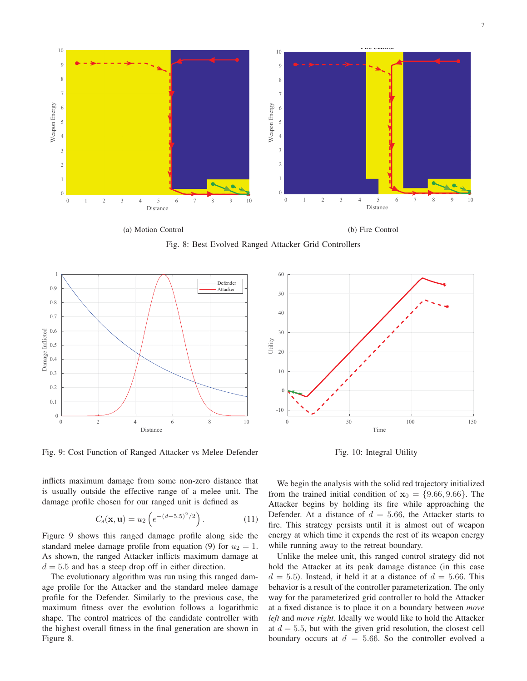

(a) Motion Control

(b) Fire Control

Fig. 8: Best Evolved Ranged Attacker Grid Controllers



Fig. 9: Cost Function of Ranged Attacker vs Melee Defender

inflicts maximum damage from some non-zero distance that is usually outside the effective range of a melee unit. The damage profile chosen for our ranged unit is defined as

$$
C_{A}(\mathbf{x}, \mathbf{u}) = u_2 \left( e^{-(d-5.5)^2/2} \right). \tag{11}
$$

Figure 9 shows this ranged damage profile along side the standard melee damage profile from equation (9) for  $u_2 = 1$ . As shown, the ranged Attacker inflicts maximum damage at  $d = 5.5$  and has a steep drop off in either direction.

The evolutionary algorithm was run using this ranged damage profile for the Attacker and the standard melee damage profile for the Defender. Similarly to the previous case, the maximum fitness over the evolution follows a logarithmic shape. The control matrices of the candidate controller with the highest overall fitness in the final generation are shown in Figure 8.



Fig. 10: Integral Utility

We begin the analysis with the solid red trajectory initialized from the trained initial condition of  $x_0 = \{9.66, 9.66\}$ . The Attacker begins by holding its fire while approaching the Defender. At a distance of  $d = 5.66$ , the Attacker starts to fire. This strategy persists until it is almost out of weapon energy at which time it expends the rest of its weapon energy while running away to the retreat boundary.

Unlike the melee unit, this ranged control strategy did not hold the Attacker at its peak damage distance (in this case  $d = 5.5$ ). Instead, it held it at a distance of  $d = 5.66$ . This behavior is a result of the controller parameterization. The only way for the parameterized grid controller to hold the Attacker at a fixed distance is to place it on a boundary between *move left* and *move right*. Ideally we would like to hold the Attacker at  $d = 5.5$ , but with the given grid resolution, the closest cell boundary occurs at  $d = 5.66$ . So the controller evolved a